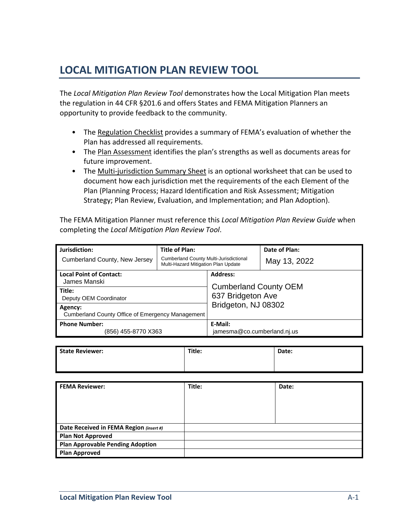## **LOCAL MITIGATION PLAN REVIEW TOOL**

The *Local Mitigation Plan Review Tool* demonstrates how the Local Mitigation Plan meets the regulation in 44 CFR §201.6 and offers States and FEMA Mitigation Planners an opportunity to provide feedback to the community.

- The Regulation Checklist provides a summary of FEMA's evaluation of whether the Plan has addressed all requirements.
- The Plan Assessment identifies the plan's strengths as well as documents areas for future improvement.
- The Multi-jurisdiction Summary Sheet is an optional worksheet that can be used to document how each jurisdiction met the requirements of the each Element of the Plan (Planning Process; Hazard Identification and Risk Assessment; Mitigation Strategy; Plan Review, Evaluation, and Implementation; and Plan Adoption).

The FEMA Mitigation Planner must reference this *Local Mitigation Plan Review Guide* when completing the *Local Mitigation Plan Review Tool*.

| Jurisdiction:                                    | <b>Title of Plan:</b>                                                                |                                          | Date of Plan: |  |  |
|--------------------------------------------------|--------------------------------------------------------------------------------------|------------------------------------------|---------------|--|--|
| Cumberland County, New Jersey                    | <b>Cumberland County Multi-Jurisdictional</b><br>Multi-Hazard Mitigation Plan Update |                                          | May 13, 2022  |  |  |
| <b>Local Point of Contact:</b>                   |                                                                                      | <b>Address:</b>                          |               |  |  |
| James Manski                                     |                                                                                      | <b>Cumberland County OEM</b>             |               |  |  |
| Title:                                           |                                                                                      | 637 Bridgeton Ave<br>Bridgeton, NJ 08302 |               |  |  |
| Deputy OEM Coordinator                           |                                                                                      |                                          |               |  |  |
| Agency:                                          |                                                                                      |                                          |               |  |  |
| Cumberland County Office of Emergency Management |                                                                                      |                                          |               |  |  |
| <b>Phone Number:</b>                             |                                                                                      | E-Mail:                                  |               |  |  |
| (856) 455-8770 X363                              |                                                                                      | jamesma@co.cumberland.nj.us              |               |  |  |

| <b>State Reviewer:</b> | Title: | Date: |
|------------------------|--------|-------|
|                        |        |       |

| <b>FEMA Reviewer:</b>                   | Title: | Date: |
|-----------------------------------------|--------|-------|
|                                         |        |       |
|                                         |        |       |
|                                         |        |       |
|                                         |        |       |
| Date Received in FEMA Region (insert #) |        |       |
| <b>Plan Not Approved</b>                |        |       |
| <b>Plan Approvable Pending Adoption</b> |        |       |
| <b>Plan Approved</b>                    |        |       |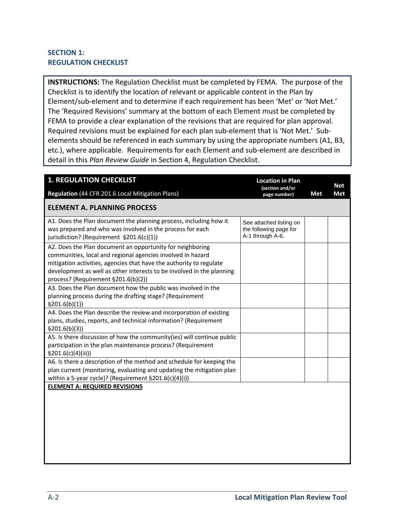## **SECTION 1: REGULATION CHECKLIST**

**INSTRUCTIONS:** The Regulation Checklist must be completed by FEMA. The purpose of the Checklist is to identify the location of relevant or applicable content in the Plan by Element/sub‐element and to determine if each requirement has been 'Met' or 'Not Met.' The 'Required Revisions' summary at the bottom of each Element must be completed by FEMA to provide a clear explanation of the revisions that are required for plan approval. Required revisions must be explained for each plan sub-element that is 'Not Met.' Subelements should be referenced in each summary by using the appropriate numbers (A1, B3, etc.), where applicable. Requirements for each Element and sub‐element are described in detail in this *Plan Review Guide* in Section 4, Regulation Checklist.

| <b>1. REGULATION CHECKLIST</b><br>Regulation (44 CFR 201.6 Local Mitigation Plans)                                                                                                                                                                                                                              | <b>Location in Plan</b><br>(section and/or                            | Met | <b>Not</b><br><b>Met</b> |
|-----------------------------------------------------------------------------------------------------------------------------------------------------------------------------------------------------------------------------------------------------------------------------------------------------------------|-----------------------------------------------------------------------|-----|--------------------------|
| <b>ELEMENT A. PLANNING PROCESS</b>                                                                                                                                                                                                                                                                              | page number)                                                          |     |                          |
| A1. Does the Plan document the planning process, including how it<br>was prepared and who was involved in the process for each<br>jurisdiction? (Requirement §201.6(c)(1))                                                                                                                                      | See attached listing on<br>the following page for<br>A-1 through A-6. |     |                          |
| A2. Does the Plan document an opportunity for neighboring<br>communities, local and regional agencies involved in hazard<br>mitigation activities, agencies that have the authority to regulate<br>development as well as other interests to be involved in the planning<br>process? (Requirement §201.6(b)(2)) |                                                                       |     |                          |
| A3. Does the Plan document how the public was involved in the<br>planning process during the drafting stage? (Requirement<br>\$201.6(b)(1)]                                                                                                                                                                     |                                                                       |     |                          |
| A4. Does the Plan describe the review and incorporation of existing<br>plans, studies, reports, and technical information? (Requirement<br>\$201.6(b)(3))                                                                                                                                                       |                                                                       |     |                          |
| A5. Is there discussion of how the community(ies) will continue public<br>participation in the plan maintenance process? (Requirement<br>\$201.6(c)(4)(iii))                                                                                                                                                    |                                                                       |     |                          |
| A6. Is there a description of the method and schedule for keeping the<br>plan current (monitoring, evaluating and updating the mitigation plan<br>within a 5-year cycle)? (Requirement $\S201.6(c)(4)(i)$ )                                                                                                     |                                                                       |     |                          |
| <b>ELEMENT A: REQUIRED REVISIONS</b>                                                                                                                                                                                                                                                                            |                                                                       |     |                          |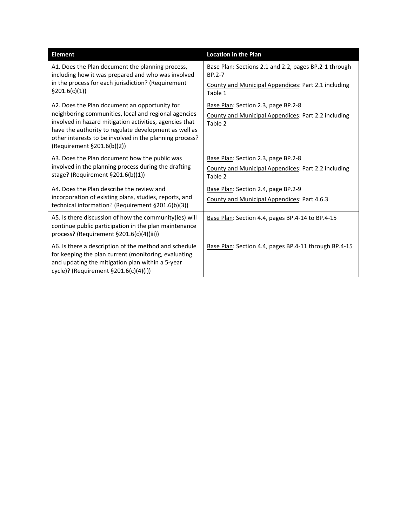| <b>Element</b>                                                                                                                                                                                             | <b>Location in the Plan</b>                                                                           |  |  |  |  |
|------------------------------------------------------------------------------------------------------------------------------------------------------------------------------------------------------------|-------------------------------------------------------------------------------------------------------|--|--|--|--|
| A1. Does the Plan document the planning process,<br>including how it was prepared and who was involved                                                                                                     | Base Plan: Sections 2.1 and 2.2, pages BP.2-1 through<br>BP.2-7                                       |  |  |  |  |
| in the process for each jurisdiction? (Requirement<br>\$201.6(c)(1)]                                                                                                                                       | County and Municipal Appendices: Part 2.1 including<br>Table 1                                        |  |  |  |  |
| A2. Does the Plan document an opportunity for<br>neighboring communities, local and regional agencies<br>involved in hazard mitigation activities, agencies that                                           | Base Plan: Section 2.3, page BP.2-8<br>County and Municipal Appendices: Part 2.2 including<br>Table 2 |  |  |  |  |
| have the authority to regulate development as well as<br>other interests to be involved in the planning process?<br>(Requirement §201.6(b)(2))                                                             |                                                                                                       |  |  |  |  |
| A3. Does the Plan document how the public was                                                                                                                                                              | Base Plan: Section 2.3, page BP.2-8                                                                   |  |  |  |  |
| involved in the planning process during the drafting<br>stage? (Requirement §201.6(b)(1))                                                                                                                  | County and Municipal Appendices: Part 2.2 including<br>Table 2                                        |  |  |  |  |
| A4. Does the Plan describe the review and                                                                                                                                                                  | Base Plan: Section 2.4, page BP.2-9                                                                   |  |  |  |  |
| incorporation of existing plans, studies, reports, and<br>technical information? (Requirement §201.6(b)(3))                                                                                                | County and Municipal Appendices: Part 4.6.3                                                           |  |  |  |  |
| A5. Is there discussion of how the community(ies) will<br>continue public participation in the plan maintenance<br>process? (Requirement §201.6(c)(4)(iii))                                                | Base Plan: Section 4.4, pages BP.4-14 to BP.4-15                                                      |  |  |  |  |
| A6. Is there a description of the method and schedule<br>for keeping the plan current (monitoring, evaluating<br>and updating the mitigation plan within a 5-year<br>cycle)? (Requirement §201.6(c)(4)(i)) | Base Plan: Section 4.4, pages BP.4-11 through BP.4-15                                                 |  |  |  |  |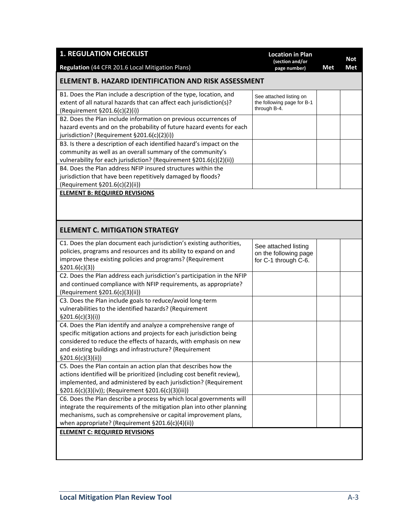| <b>1. REGULATION CHECKLIST</b><br>Regulation (44 CFR 201.6 Local Mitigation Plans)                                                                                                                                                                                                            | <b>Location in Plan</b><br>(section and/or<br>page number)            | Met | Not<br><b>Met</b> |
|-----------------------------------------------------------------------------------------------------------------------------------------------------------------------------------------------------------------------------------------------------------------------------------------------|-----------------------------------------------------------------------|-----|-------------------|
| ELEMENT B. HAZARD IDENTIFICATION AND RISK ASSESSMENT                                                                                                                                                                                                                                          |                                                                       |     |                   |
| B1. Does the Plan include a description of the type, location, and<br>extent of all natural hazards that can affect each jurisdiction(s)?<br>(Requirement §201.6(c)(2)(i))                                                                                                                    | See attached listing on<br>the following page for B-1<br>through B-4. |     |                   |
| B2. Does the Plan include information on previous occurrences of<br>hazard events and on the probability of future hazard events for each<br>jurisdiction? (Requirement §201.6(c)(2)(i))                                                                                                      |                                                                       |     |                   |
| B3. Is there a description of each identified hazard's impact on the<br>community as well as an overall summary of the community's<br>vulnerability for each jurisdiction? (Requirement §201.6(c)(2)(ii))                                                                                     |                                                                       |     |                   |
| B4. Does the Plan address NFIP insured structures within the<br>jurisdiction that have been repetitively damaged by floods?<br>(Requirement §201.6(c)(2)(ii))                                                                                                                                 |                                                                       |     |                   |
| <b>ELEMENT B: REQUIRED REVISIONS</b>                                                                                                                                                                                                                                                          |                                                                       |     |                   |
| <b>ELEMENT C. MITIGATION STRATEGY</b>                                                                                                                                                                                                                                                         |                                                                       |     |                   |
| C1. Does the plan document each jurisdiction's existing authorities,<br>policies, programs and resources and its ability to expand on and<br>improve these existing policies and programs? (Requirement<br>\$201.6(c)(3))                                                                     | See attached listing<br>on the following page<br>for C-1 through C-6. |     |                   |
| C2. Does the Plan address each jurisdiction's participation in the NFIP<br>and continued compliance with NFIP requirements, as appropriate?<br>(Requirement §201.6(c)(3)(ii))                                                                                                                 |                                                                       |     |                   |
| C3. Does the Plan include goals to reduce/avoid long-term<br>vulnerabilities to the identified hazards? (Requirement<br>\$201.6(c)(3)(i))                                                                                                                                                     |                                                                       |     |                   |
| C4. Does the Plan identify and analyze a comprehensive range of<br>specific mitigation actions and projects for each jurisdiction being<br>considered to reduce the effects of hazards, with emphasis on new<br>and existing buildings and infrastructure? (Requirement<br>\$201.6(c)(3)(ii)) |                                                                       |     |                   |
| C5. Does the Plan contain an action plan that describes how the<br>actions identified will be prioritized (including cost benefit review),<br>implemented, and administered by each jurisdiction? (Requirement<br>§201.6(c)(3)(iv)); (Requirement §201.6(c)(3)(iii))                          |                                                                       |     |                   |
| C6. Does the Plan describe a process by which local governments will<br>integrate the requirements of the mitigation plan into other planning<br>mechanisms, such as comprehensive or capital improvement plans,<br>when appropriate? (Requirement §201.6(c)(4)(ii))                          |                                                                       |     |                   |
| <b>ELEMENT C: REQUIRED REVISIONS</b>                                                                                                                                                                                                                                                          |                                                                       |     |                   |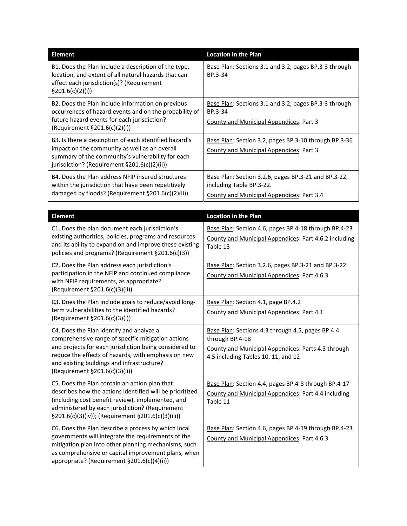| <b>Element</b>                                                                                                                                                                                                   | <b>Location in the Plan</b>                                                                                                   |
|------------------------------------------------------------------------------------------------------------------------------------------------------------------------------------------------------------------|-------------------------------------------------------------------------------------------------------------------------------|
| B1. Does the Plan include a description of the type,<br>location, and extent of all natural hazards that can<br>affect each jurisdiction(s)? (Requirement<br>§201.6(c)(2)(i))                                    | Base Plan: Sections 3.1 and 3.2, pages BP.3-3 through<br>BP.3-34                                                              |
| B2. Does the Plan include information on previous<br>occurrences of hazard events and on the probability of<br>future hazard events for each jurisdiction?<br>(Required)(2)(i)                                   | Base Plan: Sections 3.1 and 3.2, pages BP.3-3 through<br>BP.3-34<br><b>County and Municipal Appendices: Part 3</b>            |
| B3. Is there a description of each identified hazard's<br>impact on the community as well as an overall<br>summary of the community's vulnerability for each<br>jurisdiction? (Requirement $\S201.6(c)(2)(ii)$ ) | Base Plan: Section 3.2, pages BP.3-10 through BP.3-36<br>County and Municipal Appendices: Part 3                              |
| B4. Does the Plan address NFIP insured structures<br>within the jurisdiction that have been repetitively<br>damaged by floods? (Requirement §201.6(c)(2)(ii))                                                    | Base Plan: Section 3.2.6, pages BP.3-21 and BP.3-22,<br>including Table BP.3-22.<br>County and Municipal Appendices: Part 3.4 |

| <b>Element</b>                                                                                                                                                                                                                                                                                  | <b>Location in the Plan</b>                                                                                                                                       |
|-------------------------------------------------------------------------------------------------------------------------------------------------------------------------------------------------------------------------------------------------------------------------------------------------|-------------------------------------------------------------------------------------------------------------------------------------------------------------------|
| C1. Does the plan document each jurisdiction's<br>existing authorities, policies, programs and resources<br>and its ability to expand on and improve these existing<br>policies and programs? (Requirement §201.6(c)(3))                                                                        | Base Plan: Section 4.6, pages BP.4-18 through BP.4-23<br>County and Municipal Appendices: Part 4.6.2 including<br>Table 13                                        |
| C2. Does the Plan address each jurisdiction's<br>participation in the NFIP and continued compliance<br>with NFIP requirements, as appropriate?<br>(Requirement §201.6(c)(3)(ii))                                                                                                                | Base Plan: Section 3.2.6, pages BP.3-21 and BP.3-22<br>County and Municipal Appendices: Part 4.6.3                                                                |
| C3. Does the Plan include goals to reduce/avoid long-<br>term vulnerabilities to the identified hazards?<br>(Requirement §201.6(c)(3)(i))                                                                                                                                                       | Base Plan: Section 4.1, page BP.4.2<br>County and Municipal Appendices: Part 4.1                                                                                  |
| C4. Does the Plan identify and analyze a<br>comprehensive range of specific mitigation actions<br>and projects for each jurisdiction being considered to<br>reduce the effects of hazards, with emphasis on new<br>and existing buildings and infrastructure?<br>(Requirement §201.6(c)(3)(ii)) | Base Plan: Sections 4.3 through 4.5, pages BP.4.4<br>through BP.4-18<br>County and Municipal Appendices: Parts 4.3 through<br>4.5 including Tables 10, 11, and 12 |
| C5. Does the Plan contain an action plan that<br>describes how the actions identified will be prioritized<br>(including cost benefit review), implemented, and<br>administered by each jurisdiction? (Requirement<br>§201.6(c)(3)(iv)); (Requirement §201.6(c)(3)(iii))                         | Base Plan: Section 4.4, pages BP.4-8 through BP.4-17<br>County and Municipal Appendices: Part 4.4 including<br>Table 11                                           |
| C6. Does the Plan describe a process by which local<br>governments will integrate the requirements of the<br>mitigation plan into other planning mechanisms, such<br>as comprehensive or capital improvement plans, when<br>appropriate? (Requirement §201.6(c)(4)(ii))                         | Base Plan: Section 4.6, pages BP.4-19 through BP.4-23<br>County and Municipal Appendices: Part 4.6.3                                                              |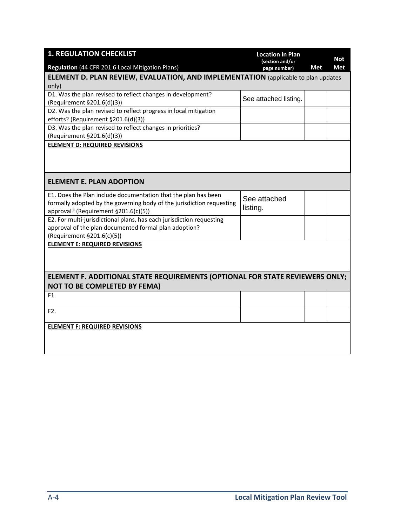| <b>1. REGULATION CHECKLIST</b>                                                     | <b>Location in Plan</b><br>(section and/or |     | <b>Not</b> |
|------------------------------------------------------------------------------------|--------------------------------------------|-----|------------|
| Regulation (44 CFR 201.6 Local Mitigation Plans)                                   | page number)                               | Met | Met        |
| ELEMENT D. PLAN REVIEW, EVALUATION, AND IMPLEMENTATION (applicable to plan updates |                                            |     |            |
| only)                                                                              |                                            |     |            |
| D1. Was the plan revised to reflect changes in development?                        | See attached listing.                      |     |            |
| (Requirement §201.6(d)(3))                                                         |                                            |     |            |
| D2. Was the plan revised to reflect progress in local mitigation                   |                                            |     |            |
| efforts? (Requirement §201.6(d)(3))                                                |                                            |     |            |
| D3. Was the plan revised to reflect changes in priorities?                         |                                            |     |            |
| (Requirement §201.6(d)(3))                                                         |                                            |     |            |
| <b>ELEMENT D: REQUIRED REVISIONS</b>                                               |                                            |     |            |
|                                                                                    |                                            |     |            |
|                                                                                    |                                            |     |            |
|                                                                                    |                                            |     |            |
| <b>ELEMENT E. PLAN ADOPTION</b>                                                    |                                            |     |            |
| E1. Does the Plan include documentation that the plan has been                     | See attached                               |     |            |
| formally adopted by the governing body of the jurisdiction requesting              | listing.                                   |     |            |
| approval? (Requirement §201.6(c)(5))                                               |                                            |     |            |
| E2. For multi-jurisdictional plans, has each jurisdiction requesting               |                                            |     |            |
| approval of the plan documented formal plan adoption?                              |                                            |     |            |
| (Requirement §201.6(c)(5))                                                         |                                            |     |            |
| <b>ELEMENT E: REQUIRED REVISIONS</b>                                               |                                            |     |            |
|                                                                                    |                                            |     |            |
|                                                                                    |                                            |     |            |
|                                                                                    |                                            |     |            |
| ELEMENT F. ADDITIONAL STATE REQUIREMENTS (OPTIONAL FOR STATE REVIEWERS ONLY;       |                                            |     |            |
| <b>NOT TO BE COMPLETED BY FEMA)</b>                                                |                                            |     |            |
| F1.                                                                                |                                            |     |            |
| F2.                                                                                |                                            |     |            |
|                                                                                    |                                            |     |            |
| <b>ELEMENT F: REQUIRED REVISIONS</b>                                               |                                            |     |            |
|                                                                                    |                                            |     |            |
|                                                                                    |                                            |     |            |
|                                                                                    |                                            |     |            |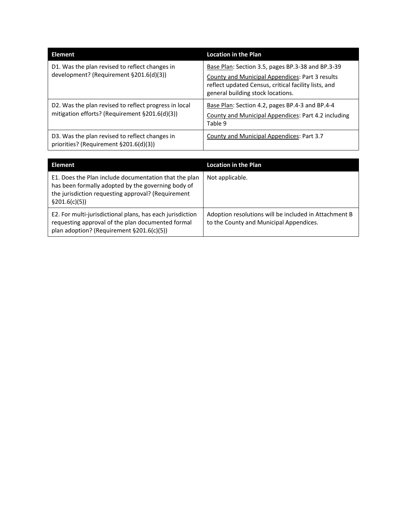| <b>Element</b>                                                                                          | <b>Location in the Plan</b>                                                                                                                                                                                                                                                                                                                                         |  |  |
|---------------------------------------------------------------------------------------------------------|---------------------------------------------------------------------------------------------------------------------------------------------------------------------------------------------------------------------------------------------------------------------------------------------------------------------------------------------------------------------|--|--|
| D1. Was the plan revised to reflect changes in<br>development? (Requirement §201.6(d)(3))               | Base Plan: Section 3.5, pages BP.3-38 and BP.3-39<br>County and Municipal Appendices: Part 3 results<br>reflect updated Census, critical facility lists, and<br>general building stock locations.<br>Base Plan: Section 4.2, pages BP.4-3 and BP.4-4<br>County and Municipal Appendices: Part 4.2 including<br>Table 9<br>County and Municipal Appendices: Part 3.7 |  |  |
| D2. Was the plan revised to reflect progress in local<br>mitigation efforts? (Requirement §201.6(d)(3)) |                                                                                                                                                                                                                                                                                                                                                                     |  |  |
| D3. Was the plan revised to reflect changes in<br>priorities? (Requirement §201.6(d)(3))                |                                                                                                                                                                                                                                                                                                                                                                     |  |  |

| Element                                                                                                                                                                             | <b>Location in the Plan</b>                                                                      |
|-------------------------------------------------------------------------------------------------------------------------------------------------------------------------------------|--------------------------------------------------------------------------------------------------|
| E1. Does the Plan include documentation that the plan<br>has been formally adopted by the governing body of<br>the jurisdiction requesting approval? (Requirement<br>\$201.6(c)(5)) | Not applicable.                                                                                  |
| E2. For multi-jurisdictional plans, has each jurisdiction<br>requesting approval of the plan documented formal<br>plan adoption? (Requirement §201.6(c)(5))                         | Adoption resolutions will be included in Attachment B<br>to the County and Municipal Appendices. |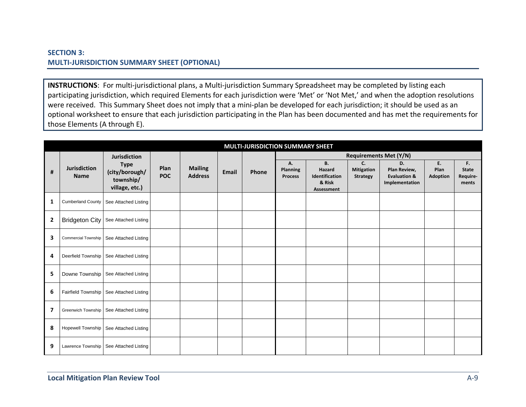## **SECTION 3: MULTI‐JURISDICTION SUMMARY SHEET (OPTIONAL)**

**INSTRUCTIONS**: For multi‐jurisdictional plans, <sup>a</sup> Multi‐jurisdiction Summary Spreadsheet may be completed by listing each participating jurisdiction, which required Elements for each jurisdiction were 'Met' or 'Not Met,' and when the adoption resolutions were received. This Summary Sheet does not imply that <sup>a</sup> mini‐plan be developed for each jurisdiction; it should be used as an optional worksheet to ensure that each jurisdiction participating in the Plan has been documented and has met the requirements for those Elements (A through E).

|                | MULTI-JURISDICTION SUMMARY SHEET   |                                                              |                    |                                  |              |       |                                  |                                                               |                                            |                                                                 |                               |                                         |
|----------------|------------------------------------|--------------------------------------------------------------|--------------------|----------------------------------|--------------|-------|----------------------------------|---------------------------------------------------------------|--------------------------------------------|-----------------------------------------------------------------|-------------------------------|-----------------------------------------|
|                |                                    | <b>Jurisdiction</b>                                          |                    |                                  |              |       |                                  |                                                               |                                            | <b>Requirements Met (Y/N)</b>                                   |                               |                                         |
| #              | <b>Jurisdiction</b><br><b>Name</b> | <b>Type</b><br>(city/borough/<br>township/<br>village, etc.) | Plan<br><b>POC</b> | <b>Mailing</b><br><b>Address</b> | <b>Email</b> | Phone | А.<br>Planning<br><b>Process</b> | В.<br>Hazard<br>Identification<br>& Risk<br><b>Assessment</b> | C.<br><b>Mitigation</b><br><b>Strategy</b> | D.<br>Plan Review,<br><b>Evaluation &amp;</b><br>Implementation | E.<br>Plan<br><b>Adoption</b> | F.<br><b>State</b><br>Require-<br>ments |
| 1              | <b>Cumberland County</b>           | See Attached Listing                                         |                    |                                  |              |       |                                  |                                                               |                                            |                                                                 |                               |                                         |
| $\overline{2}$ |                                    | Bridgeton City   See Attached Listing                        |                    |                                  |              |       |                                  |                                                               |                                            |                                                                 |                               |                                         |
| 3              | Commercial Township                | See Attached Listing                                         |                    |                                  |              |       |                                  |                                                               |                                            |                                                                 |                               |                                         |
| 4              |                                    | Deerfield Township   See Attached Listing                    |                    |                                  |              |       |                                  |                                                               |                                            |                                                                 |                               |                                         |
| 5              |                                    | Downe Township   See Attached Listing                        |                    |                                  |              |       |                                  |                                                               |                                            |                                                                 |                               |                                         |
| 6              |                                    | Fairfield Township   See Attached Listing                    |                    |                                  |              |       |                                  |                                                               |                                            |                                                                 |                               |                                         |
| 7              |                                    | Greenwich Township   See Attached Listing                    |                    |                                  |              |       |                                  |                                                               |                                            |                                                                 |                               |                                         |
| 8              |                                    | Hopewell Township   See Attached Listing                     |                    |                                  |              |       |                                  |                                                               |                                            |                                                                 |                               |                                         |
| 9              | Lawrence Township                  | See Attached Listing                                         |                    |                                  |              |       |                                  |                                                               |                                            |                                                                 |                               |                                         |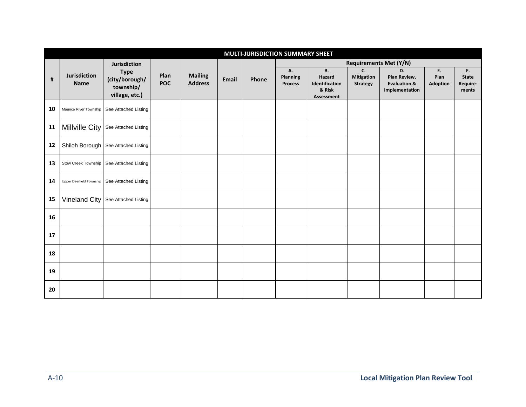| MULTI-JURISDICTION SUMMARY SHEET |                             |                                                                                     |                    |                                  |              |       |                                         |                                                               |                                            |                                                                 |                               |                                         |
|----------------------------------|-----------------------------|-------------------------------------------------------------------------------------|--------------------|----------------------------------|--------------|-------|-----------------------------------------|---------------------------------------------------------------|--------------------------------------------|-----------------------------------------------------------------|-------------------------------|-----------------------------------------|
|                                  | Jurisdiction<br><b>Name</b> | <b>Jurisdiction</b><br><b>Type</b><br>(city/borough/<br>township/<br>village, etc.) | Plan<br><b>POC</b> | <b>Mailing</b><br><b>Address</b> | <b>Email</b> | Phone | <b>Requirements Met (Y/N)</b>           |                                                               |                                            |                                                                 |                               |                                         |
| #                                |                             |                                                                                     |                    |                                  |              |       | А.<br><b>Planning</b><br><b>Process</b> | <b>B.</b><br>Hazard<br>Identification<br>& Risk<br>Assessment | C.<br><b>Mitigation</b><br><b>Strategy</b> | D.<br>Plan Review,<br><b>Evaluation &amp;</b><br>Implementation | E.<br>Plan<br><b>Adoption</b> | F.<br><b>State</b><br>Require-<br>ments |
| 10                               | Maurice River Township      | See Attached Listing                                                                |                    |                                  |              |       |                                         |                                                               |                                            |                                                                 |                               |                                         |
| 11                               | Millville City              | See Attached Listing                                                                |                    |                                  |              |       |                                         |                                                               |                                            |                                                                 |                               |                                         |
| 12                               |                             | Shiloh Borough   See Attached Listing                                               |                    |                                  |              |       |                                         |                                                               |                                            |                                                                 |                               |                                         |
| 13                               | Stow Creek Township         | See Attached Listing                                                                |                    |                                  |              |       |                                         |                                                               |                                            |                                                                 |                               |                                         |
| 14                               | Upper Deerfield Township    | See Attached Listing                                                                |                    |                                  |              |       |                                         |                                                               |                                            |                                                                 |                               |                                         |
| 15                               | Vineland City               | See Attached Listing                                                                |                    |                                  |              |       |                                         |                                                               |                                            |                                                                 |                               |                                         |
| 16                               |                             |                                                                                     |                    |                                  |              |       |                                         |                                                               |                                            |                                                                 |                               |                                         |
| 17                               |                             |                                                                                     |                    |                                  |              |       |                                         |                                                               |                                            |                                                                 |                               |                                         |
| 18                               |                             |                                                                                     |                    |                                  |              |       |                                         |                                                               |                                            |                                                                 |                               |                                         |
| 19                               |                             |                                                                                     |                    |                                  |              |       |                                         |                                                               |                                            |                                                                 |                               |                                         |
| 20                               |                             |                                                                                     |                    |                                  |              |       |                                         |                                                               |                                            |                                                                 |                               |                                         |